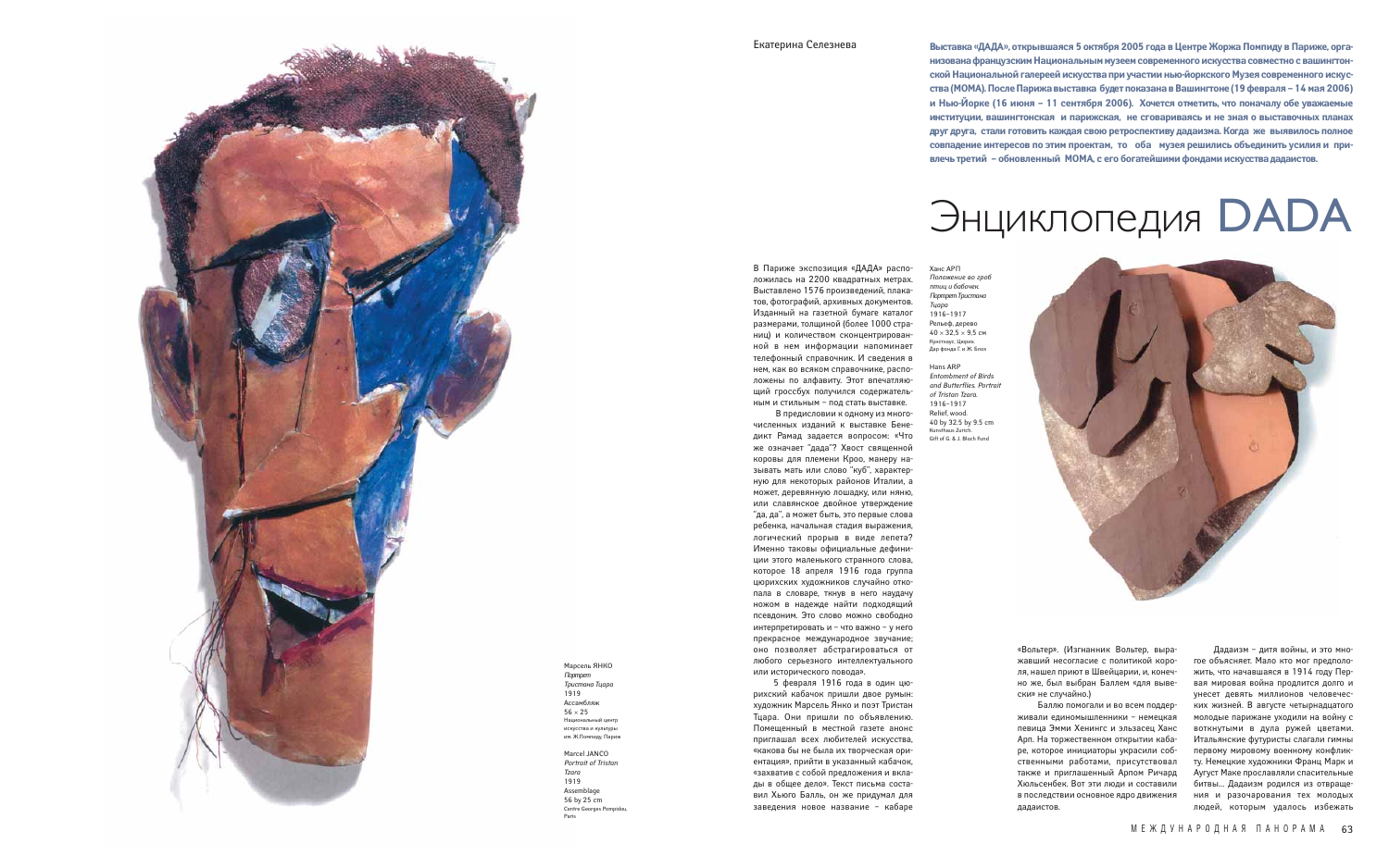Дадаизм – дитя войны, и это многое объясняет. Мало кто мог предположить, что начавшаяся в 1914 году Первая мировая война продлится долго и унесет девять миллионов человеческих жизней. В августе четырнадцатого молодые парижане уходили на войну с воткнутыми в дула ружей цветами. Итальянские футуристы слагали гимны первому мировому военному конфликту. Немецкие художники Франц Марк и Аугуст Маке прославляли спасительные битвы… Дадаизм родился из отвращения и разочарования тех молодых людей, которым удалось избежать

«Вольтер». (Изгнанник Вольтер, выражавший несогласие с политикой короля, нашел приют в Швейцарии, и, конечно же, был выбран Баллем «для вывески» не случайно.)

Баллю помогали и во всем поддерживали единомышленники – немецкая певица Эмми Хенингс и эльзасец Ханс Арп. На торжественном открытии кабаре, которое инициаторы украсили собственными работами, присутствовал также и приглашенный Арпом Ричард Хюльсенбек. Вот эти люди и составили в последствии основное ядро движения дадаистов.

**Выставка «ДАДА», открывшаяся 5 октября 2005 года в Центре Жоржа Помпиду в Париже, организована французским Национальным музеем современного искусства совместно с вашингтонской Национальной галереей искусства при участии нью-йоркского Музея современного искусства (МОМА). После Парижа выставка будет показана в Вашингтоне (19 февраля – 14 мая 2006) и Нью-Йорке (16 июня – 11 сентября 2006). Хочется отметить, что поначалу обе уважаемые институции, вашингтонская и парижская, не сговариваясь и не зная о выставочных планах друг друга, стали готовить каждая свою ретроспективу дадаизма. Когда же выявилось полное совпадение интересов по этим проектам, то оба музея решились объединить усилия и привлечь третий – обновленный МОМА, с его богатейшими фондами искусства дадаистов.**

В Париже экспозиция «ДАДА» расположилась на 2200 квадратных метрах. Выставлено 1576 произведений, плакатов, фотографий, архивных документов. Изданный на газетной бумаге каталог размерами, толщиной (более 1000 страниц) и количеством сконцентрированной в нем информации напоминает телефонный справочник. И сведения в нем, как во всяком справочнике, расположены по алфавиту. Этот впечатляющий гроссбух получился содержательным и стильным – под стать выставке.

В предисловии к одному из многочисленных изданий к выставке Бенедикт Рамад задается вопросом: «Что же означает "дада"? Хвост священной коровы для племени Кроо, манеру называть мать или слово "куб", характерную для некоторых районов Италии, а может, деревянную лошадку, или няню, или славянское двойное утверждение "да, да", а может быть, это первые слова ребенка, начальная стадия выражения, логический прорыв в виде лепета? Именно таковы официальные дефиниции этого маленького странного слова, которое 18 апреля 1916 года группа цюрихских художников случайно откопала в словаре, ткнув в него наудачу ножом в надежде найти подходящий псевдоним. Это слово можно свободно интерпретировать и – что важно – у него прекрасное международное звучание; оно позволяет абстрагироваться от любого серьезного интеллектуального или исторического повода».

5 февраля 1916 года в один цюрихский кабачок пришли двое румын: художник Марсель Янко и поэт Тристан Тцара. Они пришли по объявлению. Помещенный в местной газете анонс приглашал всех любителей искусства, «какова бы не была их творческая ориентация», прийти в указанный кабачок, «захватив с собой предложения и вклады в общее дело». Текст письма составил Хьюго Балль, он же придумал для заведения новое название – кабаре



Марсель ЯНКО *Портрет Тристана Тцара* 1919 Ассамбляж  $56 \times 25$ Национальный центр искусства и культуры им. Ж.Помпиду, Париж

Marcel JANCO *Portrait of Tristan Tzara* 1919 Assemblage 56 by 25 cm Centre Georges Pompidou, Paris

Ханс АРП *Положение во гроб птиц и бабочек. Портрет Тристана Тцара* 1916–1917 Рельеф, дерево  $40 \times 32.5 \times 9.5$  см Кунстхаус, Цюри Дар фонда Г. и Ж. Блох

Hans ARP *Entombment of Birds and Butterflies. Portrait of Tristan Tzara.* 1916–1917 Relief, wood. 40 by 32.5 by 9.5 cm Kunsthaus Zurich. Gift of G. & J. Bloch Fund



## Энциклопедия DАDА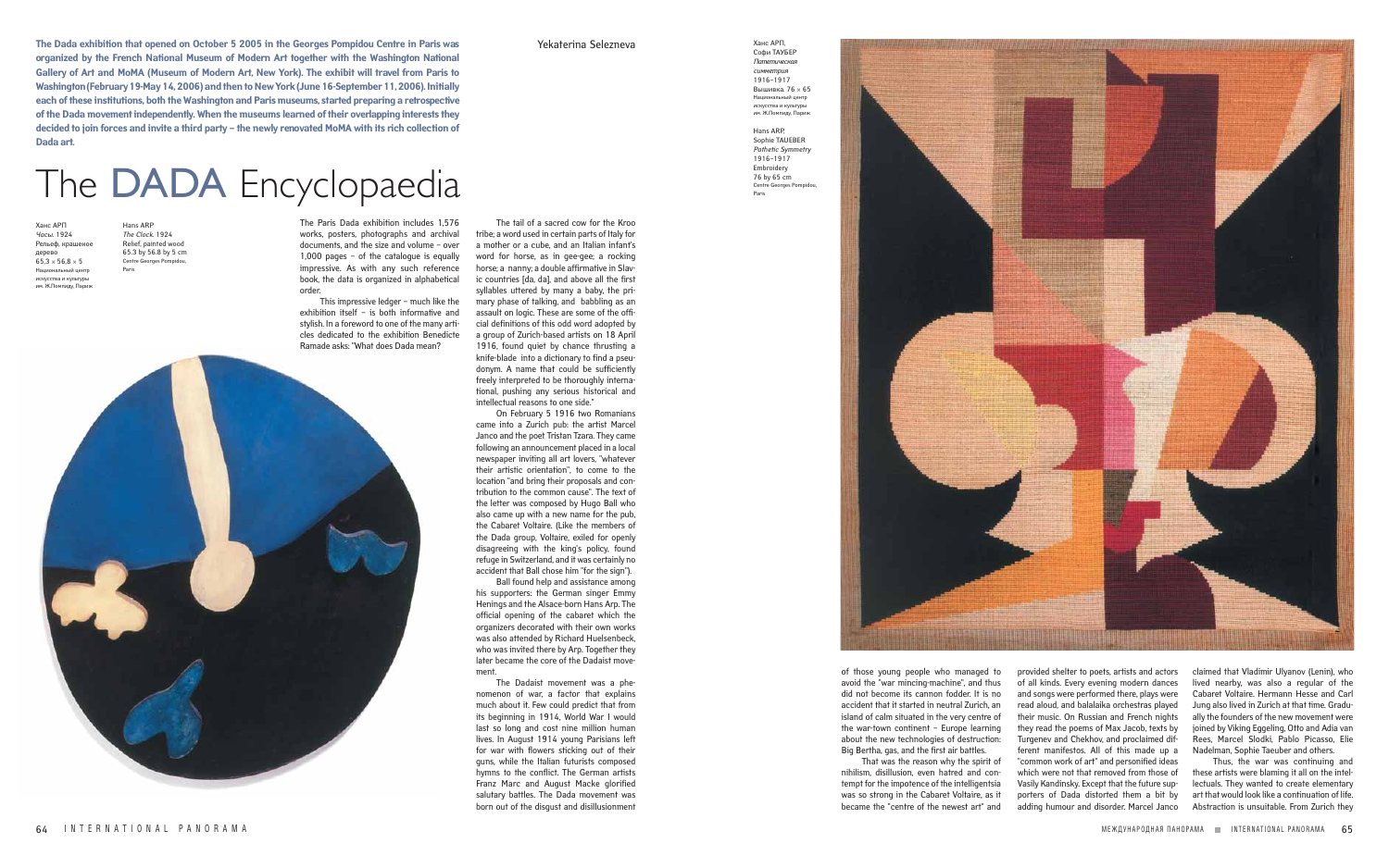**The Dada exhibition that opened on October 5 2005 in the Georges Pompidou Centre in Paris was** Yekaterina Selezneva **organized by the French National Museum of Modern Art together with the Washington National Gallery of Art and MoMA (Museum of Modern Art, New York). The exhibit will travel from Paris to Washington (February 19-May 14, 2006) and then to New York (June 16-September 11, 2006). Initially each of these institutions, both the Washington and Paris museums, started preparing a retrospective of the Dada movement independently. When the museums learned of their overlapping interests they decided to join forces and invite a third party – the newly renovated MoMA with its rich collection of Dada art.** 

Ханс АРП, Софи ТАУБЕР *Патетическая симметрия* 1916–1917 Вышивка. 76 × 65 Национальный цент искусства и культуры им. Ж.Помпиду, Париж

Hans ARP, Sophie TAUEBER *Pathetic Symmetry* 1916–1917 Embroidery 76 by 65 cm Centre Georges Pompidou, Paris

> provided shelter to poets, artists and actors of all kinds. Every evening modern dances and songs were performed there, plays were read aloud, and balalaika orchestras played their music. On Russian and French nights they read the poems of Max Jacob, texts by Turgenev and Chekhov, and proclaimed different manifestos. All of this made up a "common work of art" and personified ideas which were not that removed from those of Vasily Kandinsky. Except that the future supporters of Dada distorted them a bit by adding humour and disorder. Marcel Janco

claimed that Vladimir Ulyanov (Lenin), who lived nearby, was also a regular of the Cabaret Voltaire. Hermann Hesse and Carl Jung also lived in Zurich at that time. Gradually the founders of the new movement were joined by Viking Eggeling, Otto and Adia van Rees, Marcel Slodki, Pablo Picasso, Elie Nadelman, Sophie Taeuber and others.

Thus, the war was continuing and these artists were blaming it all on the intellectuals. They wanted to create elementary art that would look like a continuation of life. Abstraction is unsuitable. From Zurich they

of those young people who managed to avoid the "war mincing-machine", and thus did not become its cannon fodder. It is no accident that it started in neutral Zurich, an island of calm situated in the very centre of the war-town continent – Europe learning about the new technologies of destruction:

Big Bertha, gas, and the first air battles.



That was the reason why the spirit of nihilism, disillusion, even hatred and contempt for the impotence of the intelligentsia was so strong in the Cabaret Voltaire, as it became the "centre of the newest art" and

Ханс АРП *Часы*. 1924 Рельеф, крашеное дерево  $65.3 \times 56.8 \times 5$ Национальный центр искусства и культуры им. Ж.Помпиду, Париж

Hans ARP *The Clock*. 1924 Relief, painted wood 65.3 by 56.8 by 5 cm Centre Georges Pompidou, Paris

## The DADA Encyclopaedia

The Paris Dada exhibition includes 1,576 works, posters, photographs and archival documents, and the size and volume – over 1,000 pages – of the catalogue is equally impressive. As with any such reference book, the data is organized in alphabetical order.

This impressive ledger – much like the exhibition itself – is both informative and stylish. In a foreword to one of the many articles dedicated to the exhibition Benedicte Ramade asks: "What does Dada mean?



The tail of a sacred cow for the Kroo

tribe; a word used in certain parts of Italy for a mother or a cube, and an Italian infant's word for horse, as in gee-gee; a rocking horse; a nanny; a double affirmative in Slavic countries [da, da], and above all the first syllables uttered by many a baby, the primary phase of talking, and babbling as an assault on logic. These are some of the official definitions of this odd word adopted by a group of Zurich-based artists on 18 April 1916, found quiet by chance thrusting a knife-blade into a dictionary to find a pseudonym. A name that could be sufficiently freely interpreted to be thoroughly international, pushing any serious historical and intellectual reasons to one side." On February 5 1916 two Romanians

came into a Zurich pub: the artist Marcel Janco and the poet Tristan Tzara. They came following an announcement placed in a local newspaper inviting all art lovers, "whatever their artistic orientation", to come to the location "and bring their proposals and contribution to the common cause". The text of the letter was composed by Hugo Ball who also came up with a new name for the pub, the Cabaret Voltaire. (Like the members of the Dada group, Voltaire, exiled for openly disagreeing with the king's policy, found refuge in Switzerland, and it was certainly no accident that Ball chose him "for the sign").

Ball found help and assistance among his supporters: the German singer Emmy Henings and the Alsace-born Hans Arp. The official opening of the cabaret which the organizers decorated with their own works was also attended by Richard Huelsenbeck, who was invited there by Arp. Together they later became the core of the Dadaist movement.

The Dadaist movement was a phenomenon of war, a factor that explains much about it. Few could predict that from its beginning in 1914, World War I would last so long and cost nine million human lives. In August 1914 young Parisians left for war with flowers sticking out of their guns, while the Italian futurists composed hymns to the conflict. The German artists Franz Marc and August Macke glorified salutary battles. The Dada movement was born out of the disgust and disillusionment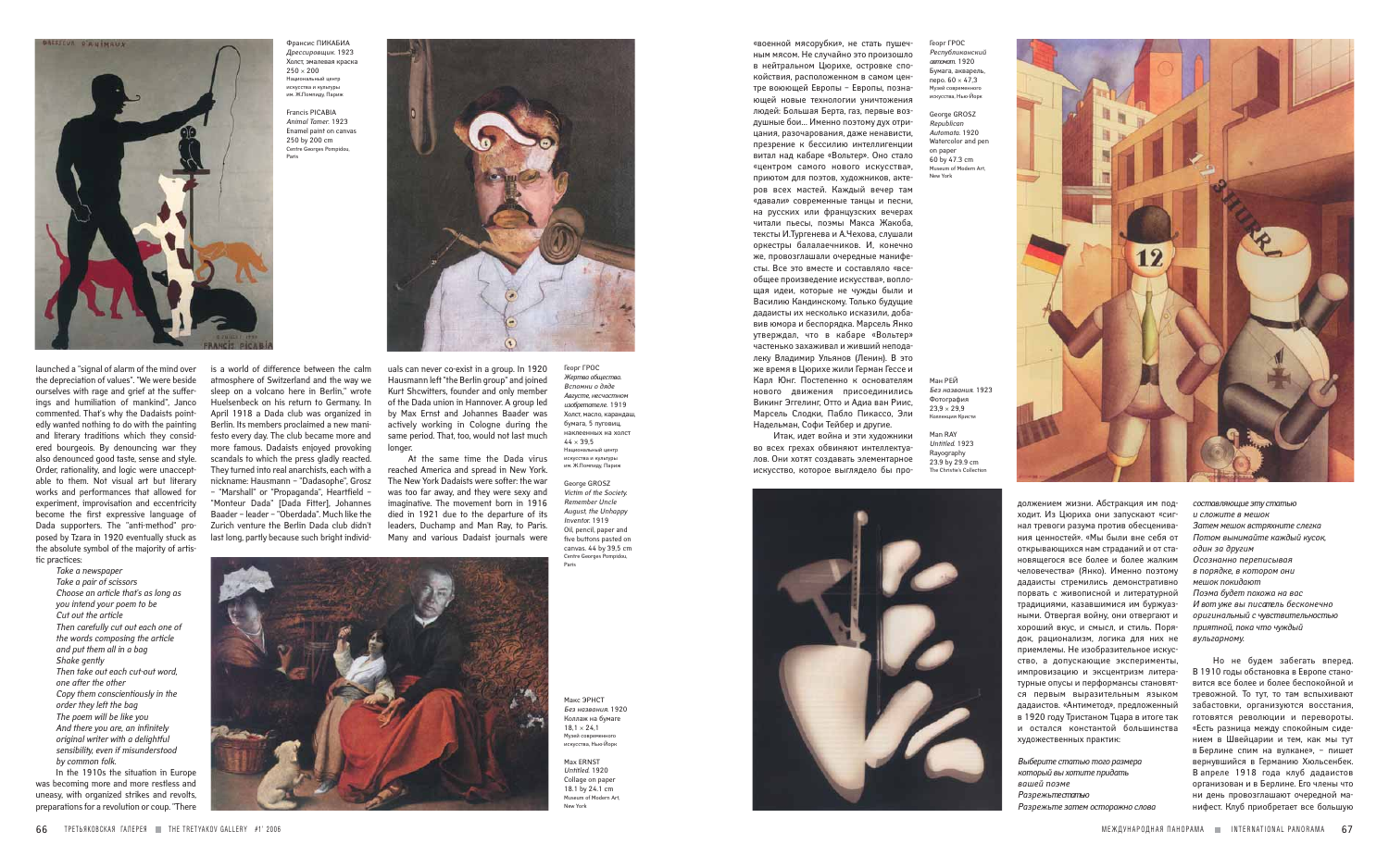launched a "signal of alarm of the mind over the depreciation of values". "We were beside ourselves with rage and grief at the sufferings and humiliation of mankind", Janco commented. That's why the Dadaists pointedly wanted nothing to do with the painting and literary traditions which they considered bourgeois. By denouncing war they also denounced good taste, sense and style. Order, rationality, and logic were unacceptable to them. Not visual art but literary works and performances that allowed for experiment, improvisation and eccentricity become the first expressive language of Dada supporters. The "anti-method" proposed by Tzara in 1920 eventually stuck as the absolute symbol of the majority of artistic practices:

> *Take a newspaper Take a pair of scissors Choose an article that's as long as you intend your poem to be Cut out the article Then carefully cut out each one of the words composing the article and put them all in a bag Shake gently Then take out each cut-out word, one after the other Copy them conscientiously in the order they left the bag The poem will be like you And there you are, an infinitely original writer with a delightful sensibility, even if misunderstood by common folk.*

In the 1910s the situation in Europe was becoming more and more restless and uneasy, with organized strikes and revolts, preparations for a revolution or coup. "There is a world of difference between the calm atmosphere of Switzerland and the way we sleep on a volcano here in Berlin," wrote Huelsenbeck on his return to Germany. In April 1918 a Dada club was organized in Berlin. Its members proclaimed a new manifesto every day. The club became more and more famous. Dadaists enjoyed provoking scandals to which the press gladly reacted. They turned into real anarchists, each with a nickname: Hausmann – "Dadasophe", Grosz – "Marshall" or "Propaganda", Heartfield – "Monteur Dada" [Dada Fitter], Johannes Baader – leader – "Oberdada". Much like the Zurich venture the Berlin Dada club didn't last long, partly because such bright individ-



должением жизни. Абстракция им подходит. Из Цюриха они запускают «сигнал тревоги разума против обесценивания ценностей». «Мы были вне себя от открывающихся нам страданий и от становящегося все более и более жалким человечества» (Янко). Именно поэтому дадаисты стремились демонстративно порвать с живописной и литературной традициями, казавшимися им буржуазными. Отвергая войну, они отвергают и хороший вкус, и смысл, и стиль. Порядок, рационализм, логика для них не приемлемы. Не изобразительное искусство, а допускающие эксперименты, импровизацию и эксцентризм литературные опусы и перформансы становятся первым выразительным языком дадаистов. «Антиметод», предложенный в 1920 году Тристаном Тцара в итоге так и остался константой большинства художественных практик:

*Выберите статью того размера который вы хотите придать вашей поэме Разрежьте статью Разрежьте затем осторожно слова*

*составляющие эту статью и сложите в мешок Затем мешок встряхните слегка Потом вынимайте каждый кусок, один за другим Осознанно переписывая в порядке, в котором они мешок покидают Поэма будет похожа на вас И вот уже вы писатель бесконечно оригинальный с чувствительностью приятной, пока что чуждый вульгарному.* 

Но не будем забегать вперед. В 1910 годы обстановка в Европе становится все более и более беспокойной и тревожной. То тут, то там вспыхивают забастовки, организуются восстания, готовятся революции и перевороты. «Есть разница между спокойным сидением в Швейцарии и тем, как мы тут в Берлине спим на вулкане», – пишет вернувшийся в Германию Хюльсенбек. В апреле 1918 года клуб дадаистов организован и в Берлине. Его члены что ни день провозглашают очередной манифест. Клуб приобретает все большую

«военной мясорубки», не стать пушечным мясом. Не случайно это произошло в нейтральном Цюрихе, островке спокойствия, расположенном в самом центре воюющей Европы – Европы, познающей новые технологии уничтожения людей: Большая Берта, газ, первые воздушные бои… Именно поэтому дух отрицания, разочарования, даже ненависти, презрение к бессилию интеллигенции витал над кабаре «Вольтер». Оно стало «центром самого нового искусства», приютом для поэтов, художников, актеров всех мастей. Каждый вечер там «давали» современные танцы и песни, на русских или французских вечерах читали пьесы, поэмы Макса Жакоба, тексты И.Тургенева и А.Чехова, слушали оркестры балалаечников. И, конечно же, провозглашали очередные манифесты. Все это вместе и составляло «всеобщее произведение искусства», воплощая идеи, которые не чужды были и Василию Кандинскому. Только будущие дадаисты их несколько исказили, добавив юмора и беспорядка. Марсель Янко утверждал, что в кабаре «Вольтер» частенько захаживал и живший неподалеку Владимир Ульянов (Ленин). В это же время в Цюрихе жили Герман Гессе и Карл Юнг. Постепенно к основателям нового движения присоединились Викинг Эггелинг, Отто и Адиа ван Риис, Марсель Слодки, Пабло Пикассо, Эли Надельман, Софи Тейбер и другие.

Итак, идет война и эти художники во всех грехах обвиняют интеллектуалов. Они хотят создавать элементарное искусство, которое выглядело бы про-



Макс ЭРНСТ *Без названия*. 1920 Коллаж на бумаге  $181 \times 241$ Музей соврем искусства, Нью-Йорк

Max ERNST *Untitled*. 1920 Collage on paper 18.1 by 24.1 cm Museum of Modern Art, New York

uals can never co-exist in a group. In 1920 Hausmann left "the Berlin group" and joined Kurt Shcwitters, founder and only member of the Dada union in Hannover. A group led by Max Ernst and Johannes Baader was actively working in Cologne during the same period. That, too, would not last much longer.

At the same time the Dada virus reached America and spread in New York. The New York Dadaists were softer: the war was too far away, and they were sexy and imaginative. The movement born in 1916 died in 1921 due to the departure of its leaders, Duchamp and Man Ray, to Paris. Many and various Dadaist journals were Ман РЕЙ *Без названия*. 1923 Фотография  $23,9 \times 29,9$ Коллекция Кристи

Man RAY *Untitled*. 1923 Rayography 23.9 by 29.9 cm The Christie's Collection





Франсис ПИКАБИА *Дрессировщик*. 1923 Холст, эмалевая краска  $250 \times 200$ Национальный центр искусства и культуры им. Ж.Помпиду, Париж

Francis PICABIA *Animal Tamer*. 1923 Enamel paint on canvas 250 by 200 cm Centre Georges Pompidou, Paris

> Георг ГРОС *Жертва общества. Вспомни о дяде Августе, несчастном изобретателе.* 1919 Холст, масло, карандаш, бумага, 5 пуговиц, наклеенных на холст  $44 \times 395$ Национальный центр искусства и культуры им. Ж.Помпиду, Париж

George GROSZ *Victim of the Society. Remember Uncle August, the Unhappy Invento*r. 1919 Oil, pencil, paper and five buttons pasted on canvas. 44 by 39,5 cm Centre Georges Pompidou, Paris



Георг ГРОС *Республиканский автомат*. 1920 Бумага, акварель, перо. 60 × 47,3 Музей совре искусства, Нью-Йорк

George GROSZ *Republican Automata*. 1920 Watercolor and pen on paper 60 by 47.3 cm Museum of Modern Art, New York